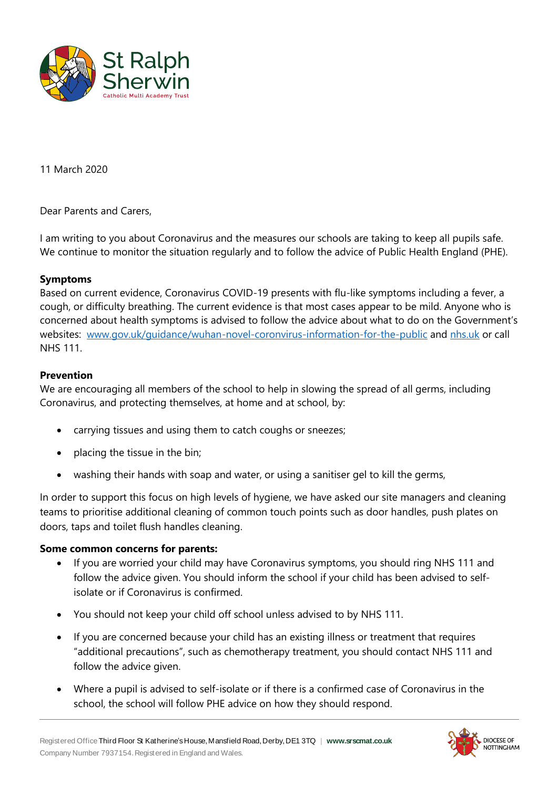

11 March 2020

Dear Parents and Carers,

I am writing to you about Coronavirus and the measures our schools are taking to keep all pupils safe. We continue to monitor the situation regularly and to follow the advice of Public Health England (PHE).

## **Symptoms**

Based on current evidence, Coronavirus COVID-19 presents with flu-like symptoms including a fever, a cough, or difficulty breathing. The current evidence is that most cases appear to be mild. Anyone who is concerned about health symptoms is advised to follow the advice about what to do on the Government's websites: [www.gov.uk/guidance/wuhan-novel-coronvirus-information-for-the-public](http://www.gov.uk/guidance/wuhan-novel-coronvirus-information-for-the-public) and [nhs.uk](https://www.nhs.uk/conditions/coronavirus-covid-19/) or call NHS 111.

## **Prevention**

We are encouraging all members of the school to help in slowing the spread of all germs, including Coronavirus, and protecting themselves, at home and at school, by:

- carrying tissues and using them to catch coughs or sneezes;
- placing the tissue in the bin;
- washing their hands with soap and water, or using a sanitiser gel to kill the germs,

In order to support this focus on high levels of hygiene, we have asked our site managers and cleaning teams to prioritise additional cleaning of common touch points such as door handles, push plates on doors, taps and toilet flush handles cleaning.

#### **Some common concerns for parents:**

- If you are worried your child may have Coronavirus symptoms, you should ring NHS 111 and follow the advice given. You should inform the school if your child has been advised to selfisolate or if Coronavirus is confirmed.
- You should not keep your child off school unless advised to by NHS 111.
- If you are concerned because your child has an existing illness or treatment that requires "additional precautions", such as chemotherapy treatment, you should contact NHS 111 and follow the advice given.
- Where a pupil is advised to self-isolate or if there is a confirmed case of Coronavirus in the school, the school will follow PHE advice on how they should respond.